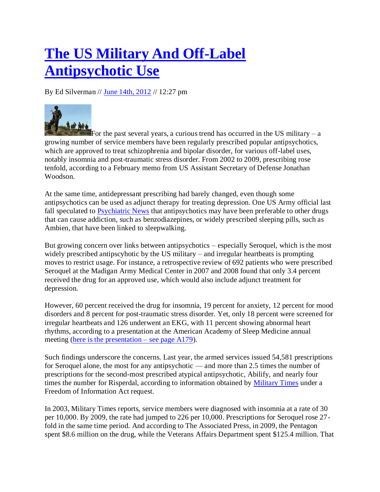## **[The US Military And Off-Label](http://www.pharmalot.com/2012/06/the-us-military-and-off-label-antipsychotic-use/)  [Antipsychotic Use](http://www.pharmalot.com/2012/06/the-us-military-and-off-label-antipsychotic-use/)**

By Ed Silverman // [June 14th, 2012](http://www.pharmalot.com/2012/06/14/) // 12:27 pm



For the past several years, a curious trend has occurred in the US military  $- a$ growing number of service members have been regularly prescribed popular antipsychotics, which are approved to treat schizophrenia and bipolar disorder, for various off-label uses, notably insomnia and post-traumatic stress disorder. From 2002 to 2009, prescribing rose tenfold, according to a February memo from US Assistant Secretary of Defense Jonathan Woodson.

At the same time, antidepressant prescribing had barely changed, even though some antipsychotics can be used as adjunct therapy for treating depression. One US Army official last fall speculated to [Psychiatric News](http://psychnews.psychiatryonline.org/newsArticle.aspx?articleid=116611) that antipsychotics may have been preferable to other drugs that can cause addiction, such as benzodiazepines, or widely prescribed sleeping pills, such as Ambien, that have been linked to sleepwalking.

But growing concern over links between antipsychotics – especially Seroquel, which is the most widely prescribed antipscyhotic by the US military – and irregular heartbeats is prompting moves to restrict usage. For instance, a retrospective review of 692 patients who were prescribed Seroquel at the Madigan Army Medical Center in 2007 and 2008 found that only 3.4 percent received the drug for an approved use, which would also include adjunct treatment for depression.

However, 60 percent received the drug for insomnia, 19 percent for anxiety, 12 percent for mood disorders and 8 percent for post-traumatic stress disorder. Yet, only 18 percent were screened for irregular heartbeats and 126 underwent an EKG, with 11 percent showing abnormal heart rhythms, according to a presentation at the American Academy of Sleep Medicine annual meeting [\(here is the presentation –](http://www.sleepmeeting.org/pdf/2011abstractsupplement.pdf) see page A179).

Such findings underscore the concerns. Last year, the armed services issued 54,581 prescriptions for Seroquel alone, the most for any antipsychotic — and more than 2.5 times the number of prescriptions for the second-most prescribed atypical antipsychotic, Abilify, and nearly four times the number for Risperdal, according to information obtained by [Military Times](http://www.airforcetimes.com/news/2012/06/military-dod-cracks-down-on-off-label-seroquel-use-061412w/) under a Freedom of Information Act request.

In 2003, Military Times reports, service members were diagnosed with insomnia at a rate of 30 per 10,000. By 2009, the rate had jumped to 226 per 10,000. Prescriptions for Seroquel rose 27 fold in the same time period. And according to The Associated Press, in 2009, the Pentagon spent \$8.6 million on the drug, while the Veterans Affairs Department spent \$125.4 million. That